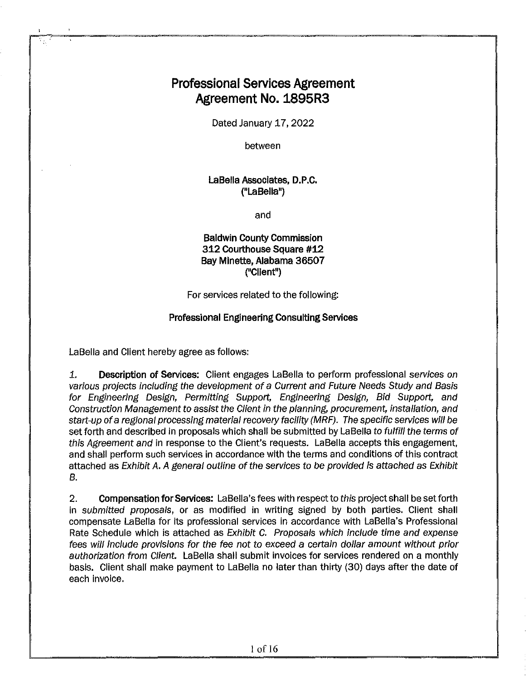### **Professional Services Agreement Agreement No. 1895R3**

Dated January 17, 2022

between

#### **LaBella Associates, D.P.C. {"La Bella")**

and

#### **Baldwin County Commission 312 Courthouse Square #12 Bay Minette, Alabama 36507 ("Client")**

For services related to the following:

#### **Professional Engineering Consulting Services**

LaBella and Client hereby agree as follows:

1. **Description of Services:** Client engages LaBella to perform professional services on various projects including the development of a Current and Future Needs Study and Basis for Engineering Design, Permitting Support, Engineering Design, Bid Support, and Construction Management to assist the Client in the planning, procurement, installation, and start-up of a regional processing material recovery facility (MRF). The specific services will be set forth and described in proposals which shall be submitted by LaBella to fulfill the terms of this Agreement and in response to the Client's requests. LaBella accepts this engagement, and shall perform such services **in** accordance with the terms and conditions of this contract attached as Exhibit A. A general outline of the services to be provided is attached as Exhibit *B.* 

2. **Compensation for Services:** LaBella's fees with respect to this project shall be set forth in submitted proposals, or as modified in writing signed by both parties. Client shall compensate LaBella for its professional services in accordance with LaBella's Professional Rate Schedule which is attached as Exhibit C. Proposals which include time and expense fees will include provisions for the fee not to exceed a certain dollar amount without prior authorization from Client. LaBella shall submit invoices for services rendered on a monthly basis. Client shall make payment to LaBella no later than thirty (30) days after the date of each invoice.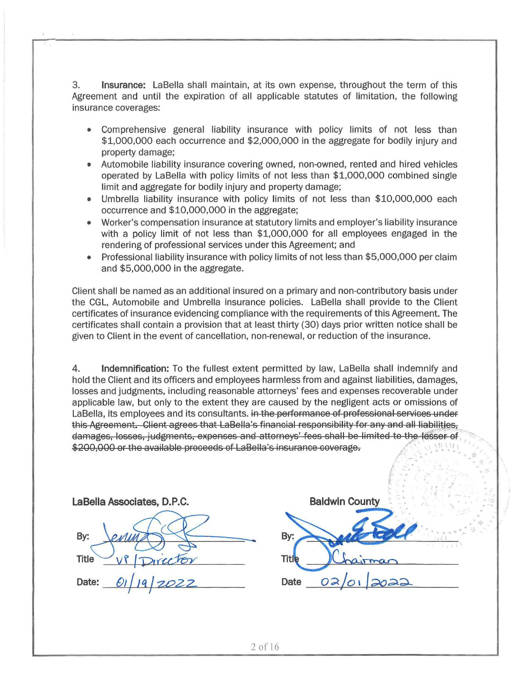3. **Insurance:** LaBella shall maintain, at its own expense, throughout the term of this Agreement and until the expiration of all applicable statutes of limitation, the following insurance coverages:

- Comprehensive general liability insurance with policy limits of not less than \$1,000,000 each occurrence and \$2,000,000 in the aggregate for bodily injury and property damage;
- Automobile liability insurance covering owned, non-owned, rented and hired vehicles operated by LaBella with policy limits of not less than \$1,000,000 combined single limit and aggregate for bodily injury and property damage;
- Umbrella liability insurance with policy limits of not less than \$10,000,000 each occurrence and \$10,000,000 in the aggregate;
- Worker's compensation insurance at statutory limits and employer's liability insurance with a policy limit of not less than \$1,000,000 for all employees engaged in the rendering of professional services under this Agreement; and
- Professional liability insurance with policy limits of not less than \$5,000,000 per claim and \$5,000,000 in the aggregate.

Client shall be named as an additional insured on a primary and non-contributory basis under the CGL, Automobile and Umbrella insurance policies. LaBella shall provide to the Client certificates of insurance evidencing compliance with the requirements of this Agreement. The certificates shall contain a provision that at least thirty (30) days prior written notice shall be given to Client in the event of cancellation, non-renewal, or reduction of the insurance.

**4. Indemnification:** To the fullest extent permitted by law, LaBella shall indemnify and hold the Client and its officers and employees harmless from and against liabilities, damages, losses and judgments, including reasonable attorneys' fees and expenses recoverable under applicable law, but only to the extent they are caused by the negligent acts or omissions of LaBella, its employees and its consultants. in the performance of professional services under this Agreement. Client agrees that LaBella's financial responsibility for any and all liabilities, damages, losses, judgments, expenses and attorneys' fees shall be limited to the lesser of \$200,000 or the available proceeds of LaBella's insurance coverage.  $\sum_{i=1}^{n} \frac{1}{2} \sum_{i=1}^{n} \frac{1}{2} \sum_{i=1}^{n} \frac{1}{2} \sum_{i=1}^{n} \frac{1}{2} \sum_{i=1}^{n} \frac{1}{2} \sum_{i=1}^{n} \frac{1}{2} \sum_{i=1}^{n} \frac{1}{2} \sum_{i=1}^{n} \frac{1}{2} \sum_{i=1}^{n} \frac{1}{2} \sum_{i=1}^{n} \frac{1}{2} \sum_{i=1}^{n} \frac{1}{2} \sum_{i=1}^{n} \frac{1}{2} \sum_{i=1}^{n} \frac{1}{2$ 

| LaBella Associates, D.P.C.        |     |
|-----------------------------------|-----|
|                                   |     |
| By:<br>en                         | By  |
| Director<br>Title                 | Tit |
| 19/2022<br>$\mathcal{O}$<br>Date: | Da  |

|       | <b>Baldwin County</b> |  |
|-------|-----------------------|--|
|       |                       |  |
| By:   |                       |  |
| Title | mar                   |  |
| Date  | 02/01/2022            |  |

 $f \sim \frac{1}{\sqrt{2}}$ 

. .·

 $.$   $\frac{1}{2}$ '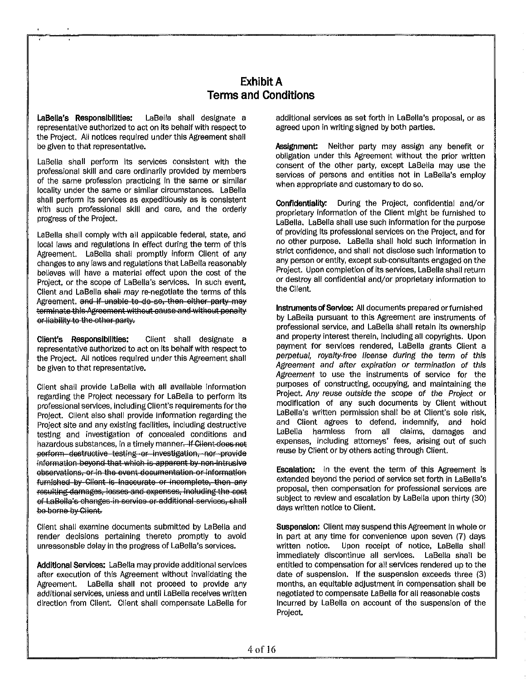#### **Exhibit A Terms and Conditions**

**LaBella's Responsibilities:** LaBella shall designate a representative authorized to act on its behalf with respect to the Project. All notices required under this Agreement shall be given to that representative.

LaBella shall perform its services consistent with the professional skill and care ordinarily provided by members of the same profession practicing in the same or similar locality under the same or similar circumstances. LaBella shall perform its services as expeditiously as is consistent with such professional skill and care, and the orderly progress of the Project.

LaBella shall comply with all applicable federal, state, and local laws and regulations in effect during the term of this Agreement. LaBella shall promptly inform Client of any changes to any laws and regulations that LaBella reasonably believes will have a material effect upon the cost of the Project, or the scope of LaBella's services. In such event, Client and LaBella shall may re-negotiate the terms of this Agreement. and if unable to do so, then either party may terminate this Agreement without cause and without penalty er liability to the other party.

**Client's Responsibilities:** Client shall designate a representative authorized to act on its behalf with respect to the Project. All notices required under this Agreement shall be given to that representative.

Client shall provide LaBella with all available information regarding the Project necessary for LaBella to perform its professional services, including Client's requirements forthe Project. Client also shall provide information regarding the Project site and any existing facilities, including destructive testing and investigation of concealed conditions and hazardous substances, in a timely manner. If Client does not perform destructive testing er investigation, nor provide information beyond that which is apparent by non-intrusive ebservations, or in the event documentation or information furnished by Client is inaccurate or incomplete, then any resulting damages, losses and expenses, including the cost of LaBella's changes in service or additional services, shall be borne by Client.

Client shall examine documents submitted by LaBella and render decisions pertaining thereto promptly to avoid unreasonable delay in the progress of LaBella's services.

**Additional Services:** LaBella may provide additional services after execution of this Agreement without invalidating the Agreement. LaBella shall not proceed to provide any additional services, unless and until LaBella receives written direction from Client. Client shall compensate LaBella for

additional services as set forth in LaBella's proposal, or as agreed upon in writing signed by both parties.

**Assignment:** Neither party may assign any benefit or obligation under this Agreement without the prior written consent of the other party, except LaBella may use the services of persons and entities not in LaBella's employ when appropriate and customary to do so.

**Confidentiality.** During the Project, confidential and/or proprietary information of the Client might be furnished to LaBella. LaBella shall use such information for the purpose of providing its professional services on the Project, and for no other purpose. LaBella shall hold such information in strict confidence, and shall not disclose such information to any person or entity, except sub-consultants engaged on the Project. Upon completion of its services, LaBella shall return or destroy all confidential and/or proprietary information to the Client.

**Instruments of Service:** All documents prepared orfurnished by LaBella pursuant to this Agreement are instruments of professional service, and LaBella shall retain its ownership and property interest therein, including all copyrights. Upon payment for services rendered, LaBella grants Client a perpetual, royalty-free license during the term of this Agreement and after expiration or termination of this Agreement to use the instruments of service for the purposes of constructing, occupying, and maintaining the Project. Any reuse outside the scope of the Project or modification of any such documents by Client without LaBella's written permission shall be at Client's sole risk, and Client agrees to defend, indemnify, and hold LaBella harmless from all claims, damages and expenses, including attorneys' fees, arising out of such reuse by Client or by others acting through Client.

**Escalation:** In the event the term of this Agreement is extended beyond the period of service set forth in LaBella's proposal, then compensation for professional services are subject to review and escalation by LaBella upon thirty (30) days written notice to Client.

**Suspension:** Client may suspend this Agreement in whole or in part at any time for convenience upon seven (7) days written notice. Upon receipt of notice, LaBella shall immediately discontinue all services. LaBella shall be entitled to compensation for all services rendered up to the date of suspension. If the suspension exceeds three (3) months, an equitable adjustment in compensation shall be negotiated to compensate La Bella for all reasonable costs Incurred by LaBella on account of the suspension of the Project.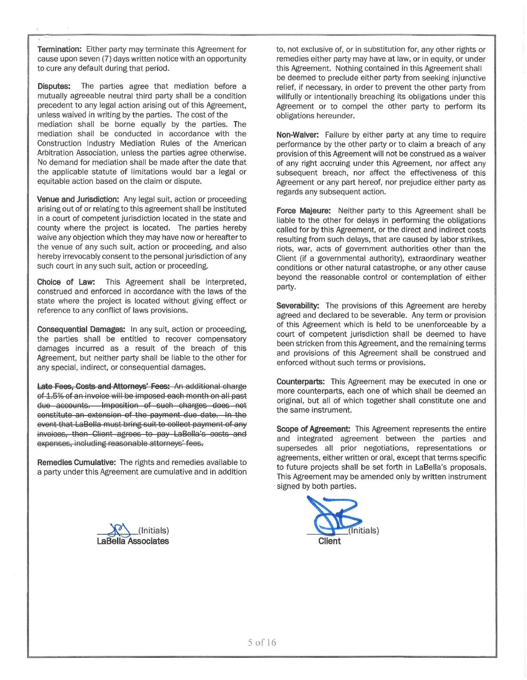Termination: Either party may terminate this Agreement for cause upon seven (7) days written notice with an opportunity to cure any default during that period.

Disputes: The parties agree that mediation before a mutually agreeable neutral third party shall be a condition precedent to any legal action arising out of this Agreement, unless waived in writing by the parties. The cost of the mediation shall be borne equally by the parties. The mediation shall be conducted in accordance with the Construction Industry Mediation Rules of the American Arbitration Association, unless the parties agree otherwise. No demand for mediation shall be made after the date that the applicable statute of limitations would bar a legal or equitable action based on the claim or dispute.

Venue and Jurisdiction: Any legal suit, action or proceeding arising out of or relating to this agreement shall be instituted in a court of competent jurisdiction located in the state and county where the project is located. The parties hereby waive any objection which they may have now or hereafter to the venue of any such suit, action or proceeding, and also hereby irrevocably consent to the personal jurisdiction of any such court in any such suit, action or proceeding.

Choice of Law: This Agreement shall be interpreted, construed and enforced in accordance with the laws of the state where the project is located without giving effect or reference to any conflict of laws provisions.

Consequential Damages: In any suit, action or proceeding, the parties shall be entitled to recover compensatory damages incurred as a result of the breach of this Agreement, but neither party shall be liable to the other for any special, indirect, or consequential damages.

Late Fees, Costs and Attorneys' Fees: An additional charge of 1.6% of an invoioe will be imposed eaoh month on all past due accounts. Imposition of such charges does not constitute an extension of the payment due date. In the event that LaBella must bring suit to collect payment of any invoices, then Client agrees to pay LaBella's costs and expenses, including reasonable attorneys' fees.

Remedies Cumulative: The rights and remedies available to a party under this Agreement are cumulative and in addition

~ (Initials) Associates

to, not exclusive of, or in substitution for, any other rights or remedies either party may have at law, or in equity, or under this Agreement. Nothing contained in this Agreement shall be deemed to preclude either party from seeking injunctive relief, if necessary, in order to prevent the other party from willfully or intentionally breaching its obligations under this Agreement or to compel the other party to perform its obligations hereunder.

Non-Waiver: Failure by either party at any time to require performance by the other party or to claim a breach of any provision of this Agreement will not be construed as a waiver of any right accruing under this Agreement, nor affect any subsequent breach, nor affect the effectiveness of this Agreement or any part hereof, nor prejudice either party as regards any subsequent action.

Force Majeure: Neither party to this Agreement shall be liable to the other for delays in performing the obligations called for by this Agreement, or the direct and indirect costs resulting from such delays, that are caused by labor strikes, riots, war, acts of government authorities other than the Client (if a governmental authority), extraordinary weather conditions or other natural catastrophe, or any other cause beyond the reasonable control or contemplation of either party.

Severability: The provisions of this Agreement are hereby agreed and declared to be severable. Any term or provision of this Agreement which is held to be unenforceable by a court of competent jurisdiction shall be deemed to have been stricken from this Agreement, and the remaining terms and provisions of this Agreement shall be construed and enforced without such terms or provisions.

Counterparts: This Agreement may be executed in one or more counterparts, each one of which shall be deemed an original, but all of which together shall constitute one and the same instrument.

Scope of Agreement: This Agreement represents the entire and integrated agreement between the parties and supersedes all prior negotiations, representations or agreements, either written or oral, except that terms specific to future projects shall be set forth in LaBella's proposals. This Agreement may be amended only by written instrument signed by both parties.

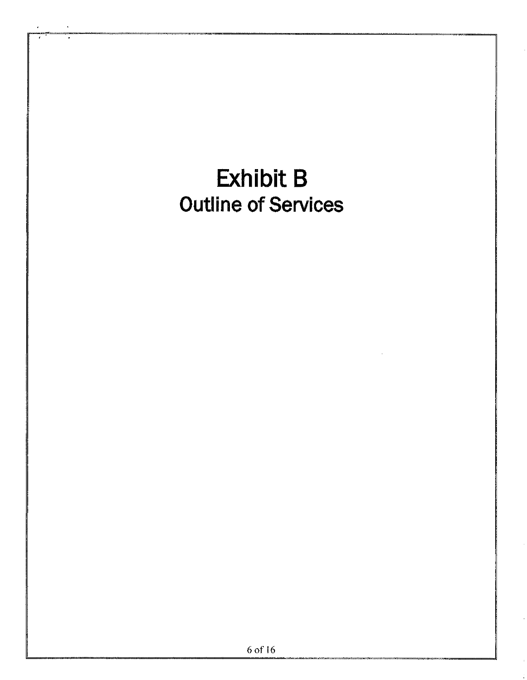# Exhibit 8 Outline of Services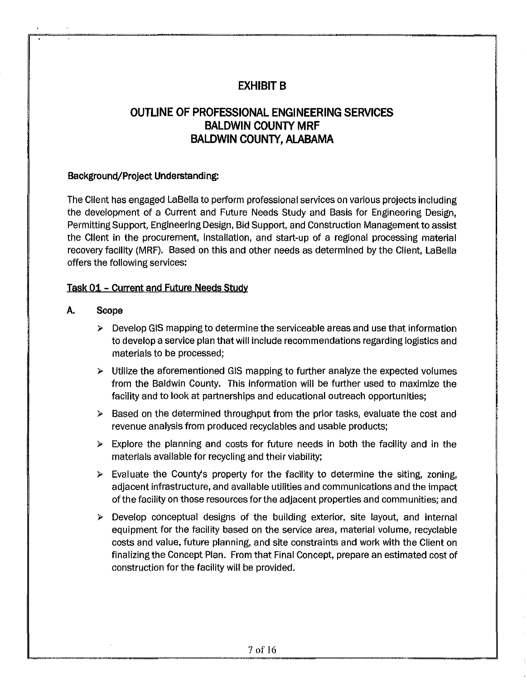#### **EXHIBIT B**

#### **OUTLINE OF PROFESSIONAL ENGINEERING SERVICES BALDWIN COUNTY MRF BALDWIN COUNTY, ALABAMA**

#### **Background/Project Understanding:**

The Client has engaged LaBella to perform professional services on various projects including the development of a Current and Future Needs Study and Basis for Engineering Design, Permitting Support, Engineering Design, Bid Support, and Construction Management to assist the Client in the procurement, installation, and start-up of a regional processing material recovery facility (MRF). Based on this and other needs as determined by the Client, LaBella offers the following services:

#### **Task 01 - Current and Future Needs Study**

#### **A. Scope**

- $\triangleright$  Develop GIS mapping to determine the serviceable areas and use that information to develop a service plan that will include recommendations regarding logistics and materials to be processed;
- $\triangleright$  Utilize the aforementioned GIS mapping to further analyze the expected volumes from the Baldwin County. This information will be further used to maximize the facility and to look at partnerships and educational outreach opportunities;
- $\triangleright$  Based on the determined throughput from the prior tasks, evaluate the cost and revenue analysis from produced recyclables and usable products;
- $\triangleright$  Explore the planning and costs for future needs in both the facility and in the materials available for recycling and their viability;
- $\triangleright$  Evaluate the County's property for the facility to determine the siting, zoning, adjacent infrastructure, and available utilities and communications and the impact of the facility on those resources for the adjacent properties and communities; and
- $\triangleright$  Develop conceptual designs of the building exterior, site layout, and internal equipment for the facility based on the service area, material volume, recyclable costs and value, future planning, and site constraints and work with the Client on finalizing the Concept Plan. From that Final Concept, prepare an estimated cost of construction for the facility will be provided.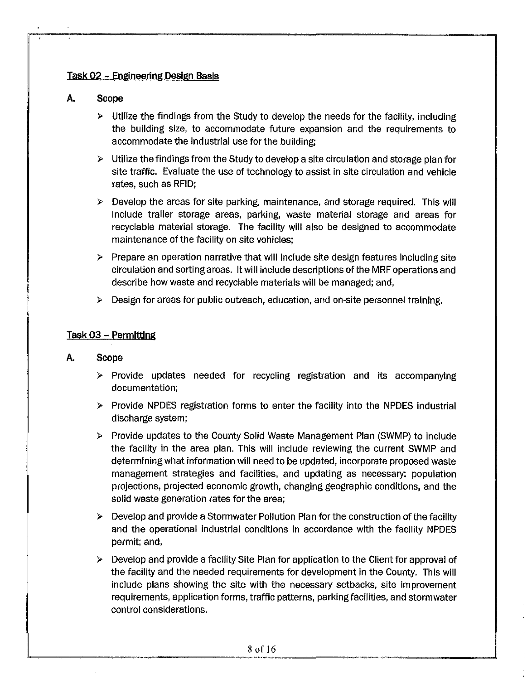#### **Task 02 - Engineering Design Basis**

#### **A. Scope**

- $\triangleright$  Utilize the findings from the Study to develop the needs for the facility, including the building size, to accommodate future expansion and the requirements to accommodate the industrial use for the building;
- *»* Utilize the findings from the Study to develop a site circulation and storage plan for site traffic. Evaluate the use of technology to assist in site circulation and vehicle rates, such as RFID;
- }> Develop the areas for site parking, maintenance, and storage required. This will include trailer storage areas, parking, waste material storage and areas for recyclable material storage. The facility will also be designed to accommodate maintenance of the facility on site vehicles;
- $\triangleright$  Prepare an operation narrative that will include site design features including site circulation and sorting areas. It will include descriptions of the MRF operations and describe how waste and recyclable materials will be managed; and,
- *»* Design for areas for public outreach, education, and on-site personnel training.

#### **Task 03 - Permitting**

#### **A. Scope**

- » Provide updates needed for recycling registration and its accompanying documentation;
- $\triangleright$  Provide NPDES registration forms to enter the facility into the NPDES industrial discharge system;
- » Provide updates to the County Solid Waste Management Plan (SWMP) to include the facility in the area plan. This will include reviewing the current SWMP and determining what information will need to be updated, incorporate proposed waste management strategies and facilities, and updating as necessary: population projections, projected economic growth, changing geographic conditions, and the solid waste generation rates for the area;
- *»* Develop and provide a Stormwater Pollution Plan forthe construction of the facility and the operational industrial conditions in accordance with the facility NPDES permit; and,
- *»* Develop and provide a facility Site Plan for application to the Client for approval of the facility and the needed requirements for development in the County. This will include plans showing the site with the necessary setbacks, site improvement requirements, application forms, traffic patterns, parking facilities, and stormwater control considerations.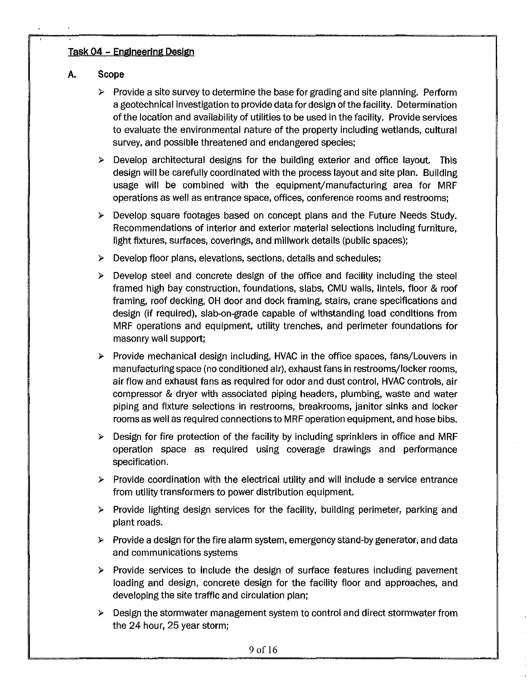#### **Task 04 - Engineering Design**

#### **A. Scope**

- $\triangleright$  Provide a site survey to determine the base for grading and site planning. Perform a geotechnlcal investigation to provide data for design of the facility. Determination of the location and availability of utilities to be used in the facility. Provide services to evaluate the environmental nature of the property including wetlands, cultural survey, and possible threatened and endangered species;
- $\triangleright$  Develop architectural designs for the building exterior and office layout. This design will be carefully coordinated with the process layout and site plan. Building usage will be combined with the equipment/manufacturing area for MRF operations as well as entrance space, offices, conference rooms and restrooms;
- > Develop square footages based on concept plans and the Future Needs Study. Recommendations of interior and exterior material selections including furniture, light fixtures, surfaces, coverings, and millwork details (public spaces);
- > Develop floor plans, elevations, sections, details and schedules;
- $\triangleright$  Develop steel and concrete design of the office and facility including the steel framed high bay construction, foundations, slabs, CMU walls, lintels, floor & roof framing, roof decking, OH door and dock framing, stairs, crane specifications and design (if required), slab-on-grade capable of withstanding load conditions from MRF operations and equipment, utility trenches, and perimeter foundations for masonry wall support;
- > Provide mechanical design including, HVAC in the office spaces, fans/Louvers in manufacturing space (no conditioned air), exhaust fans in restrooms/locker rooms, air flow and exhaust fans as required for odor and dust control, HVAC controls, air compressor & dryer with associated piping headers, plumbing, waste and water piping and fixture selections in restrooms, breakrooms, janitor sinks and locker rooms as well as required connections to MRF operation equipment, and hose bibs.
- $\triangleright$  Design for fire protection of the facility by including sprinklers in office and MRF operation space as required using coverage drawings and performance specification.
- $\triangleright$  Provide coordination with the electrical utility and will include a service entrance from utility transformers to power distribution equipment.
- > Provide lighting design services for the facility, building perimeter, parking and plant roads.
- $\triangleright$  Provide a design for the fire alarm system, emergency stand-by generator, and data and communications systems
- $\triangleright$  Provide services to include the design of surface features including pavement loading and design, concrete design for the facility floor and approaches, and developing the site traffic and circulation plan;
- > Design the stormwater management system to control and direct stormwater from the 24 hour, 25 year storm;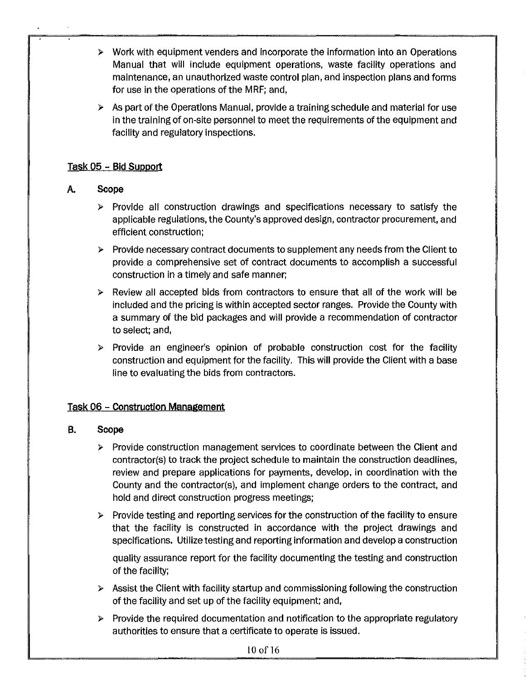- $\triangleright$  Work with equipment venders and incorporate the information into an Operations Manual that will include equipment operations, waste facility operations and maintenance, an unauthorized waste control plan, and inspection plans and forms for use in the operations of the MRF; and,
- $\triangleright$  As part of the Operations Manual, provide a training schedule and material for use in the training of on-site personnel to meet the requirements of the equipment and facility and regulatory inspections.

#### **Task** 05 - **Bid Support**

#### **A. Scope**

- $\triangleright$  Provide all construction drawings and specifications necessary to satisfy the applicable regulations, the County's approved design, contractor procurement, and efficient construction;
- $\triangleright$  Provide necessary contract documents to supplement any needs from the Client to provide a comprehensive set of contract documents to accomplish a successful construction in a timely and safe manner;
- $\triangleright$  Review all accepted bids from contractors to ensure that all of the work will be included and the pricing is within accepted sector ranges. Provide the County with a summary of the bid packages and will provide a recommendation of contractor to select; and,
- $\triangleright$  Provide an engineer's opinion of probable construction cost for the facility construction and equipment for the facility. This will provide the Client with a base line to evaluating the bids from contractors.

#### **Task** 06 - **Construction Management**

#### **B. Scope**

- $\triangleright$  Provide construction management services to coordinate between the Client and contractor(s) to track the project schedule to maintain the construction deadlines, review and prepare applications for payments, develop, in coordination with the County and the contractor(s), and implement change orders to the contract, and hold and direct construction progress meetings;
- $\triangleright$  Provide testing and reporting services for the construction of the facility to ensure that the facility is constructed in accordance with the project drawings and specifications. Utilize testing and reporting information and develop a construction

quality assurance report for the facility documenting the testing and construction of the facility;

- $\triangleright$  Assist the Client with facility startup and commissioning following the construction of the facility and set up of the facility equipment; and,
- $\triangleright$  Provide the required documentation and notification to the appropriate regulatory authorities to ensure that a certificate to operate is issued.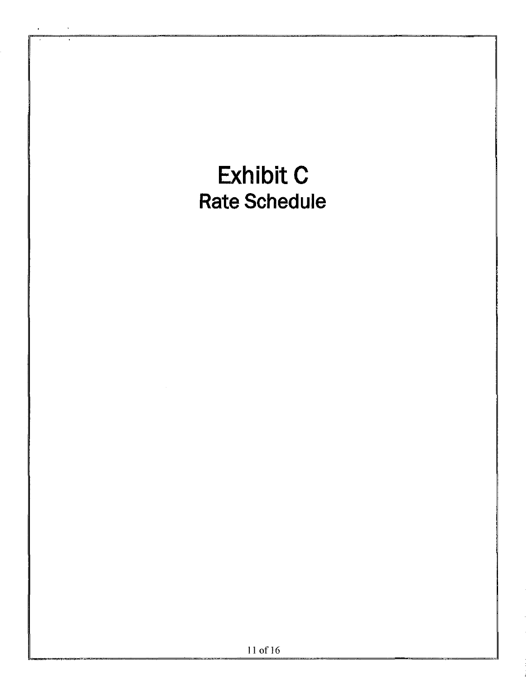# **Exhibit c Rate Schedule**  l l of 16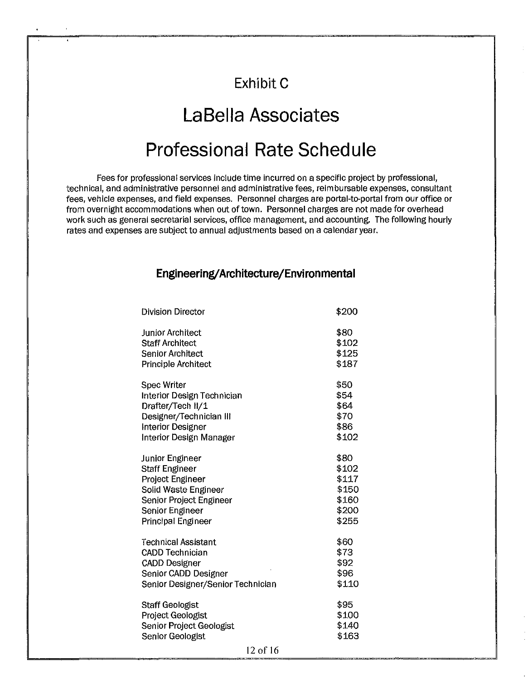# **Exhibit C**

# **LaBella Associates**

# **Professional Rate Schedule**

Fees for professional services include time incurred on a specific project by professional, technical, and administrative personnel and administrative fees, reimbursable expenses, consultant fees, vehicle expenses, and field expenses. Personnel charges are portal-to-portal from our office or from overnight accommodations when out of town. Personnel charges are not made for overhead work such as general secretarial services, office management, and accounting. The following hourly rates and expenses are subject to annual adjustments based on a calendar year.

#### **Engineering/Architecture/Environmental**

| <b>Division Director</b>                                                                                | \$200                           |
|---------------------------------------------------------------------------------------------------------|---------------------------------|
| Junior Architect                                                                                        | \$80                            |
| <b>Staff Architect</b>                                                                                  | \$102                           |
| <b>Senior Architect</b>                                                                                 | \$125                           |
| <b>Principle Architect</b>                                                                              | \$187                           |
| <b>Spec Writer</b>                                                                                      | \$50                            |
| Interior Design Technician                                                                              | \$54                            |
| Drafter/Tech II/1                                                                                       | \$64                            |
| Designer/Technician III                                                                                 | \$70                            |
| Interior Designer                                                                                       | \$86                            |
| Interior Design Manager                                                                                 | \$102                           |
| <b>Junior Engineer</b>                                                                                  | \$80                            |
| <b>Staff Engineer</b>                                                                                   | \$102                           |
| Project Engineer                                                                                        | \$117                           |
| Solid Waste Engineer                                                                                    | \$150                           |
| Senior Project Engineer                                                                                 | \$160                           |
| Senior Engineer                                                                                         | \$200                           |
| Principal Engineer                                                                                      | \$255                           |
| Technical Assistant                                                                                     | \$60                            |
| <b>CADD Technician</b>                                                                                  | \$73                            |
| <b>CADD Designer</b>                                                                                    | \$92                            |
| Senior CADD Designer                                                                                    | \$96                            |
| Senior Designer/Senior Technician                                                                       | \$110                           |
| <b>Staff Geologist</b><br>Project Geologist<br>Senior Project Geologist<br>Senior Geologist<br>12 of 16 | \$95<br>\$100<br>\$140<br>\$163 |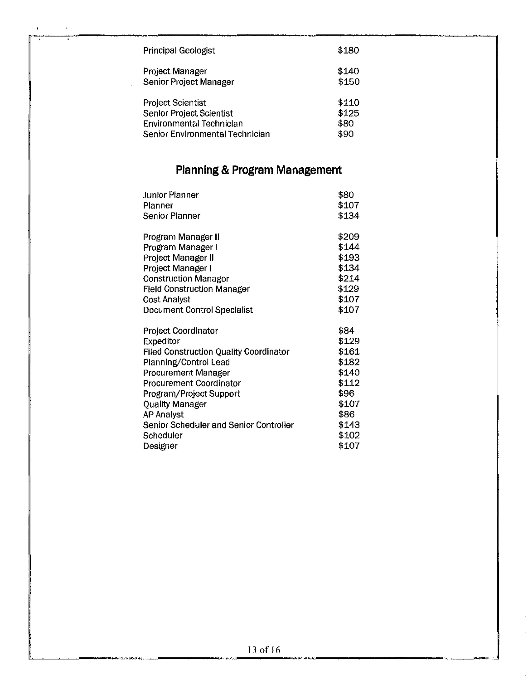| Principal Geologist             | \$180 |
|---------------------------------|-------|
| Project Manager                 | \$140 |
| Senior Project Manager          | \$150 |
| <b>Project Scientist</b>        | \$110 |
| Senior Project Scientist        | \$125 |
| <b>Environmental Technician</b> | \$80  |
| Senior Environmental Technician | \$90  |

 $\bar{1}$ 

## **Planning & Program Management**

| <b>Junior Planner</b>                         | \$80  |
|-----------------------------------------------|-------|
| Planner                                       | \$107 |
| <b>Senior Planner</b>                         | \$134 |
| Program Manager II                            | \$209 |
| Program Manager I                             | \$144 |
| Project Manager II                            | \$193 |
| Project Manager I                             | \$134 |
| <b>Construction Manager</b>                   | \$214 |
| <b>Field Construction Manager</b>             | \$129 |
| <b>Cost Analyst</b>                           | \$107 |
| Document Control Specialist                   | \$107 |
| Project Coordinator                           | \$84  |
| Expeditor                                     | \$129 |
| <b>Filed Construction Quality Coordinator</b> | \$161 |
| Planning/Control Lead                         | \$182 |
| Procurement Manager                           | \$140 |
| Procurement Coordinator                       | \$112 |
| Program/Project Support                       | \$96  |
| <b>Quality Manager</b>                        | \$107 |
| <b>AP Analyst</b>                             | \$86  |
| Senior Scheduler and Senior Controller        | \$143 |
| Scheduler                                     | \$102 |
| Designer                                      | \$107 |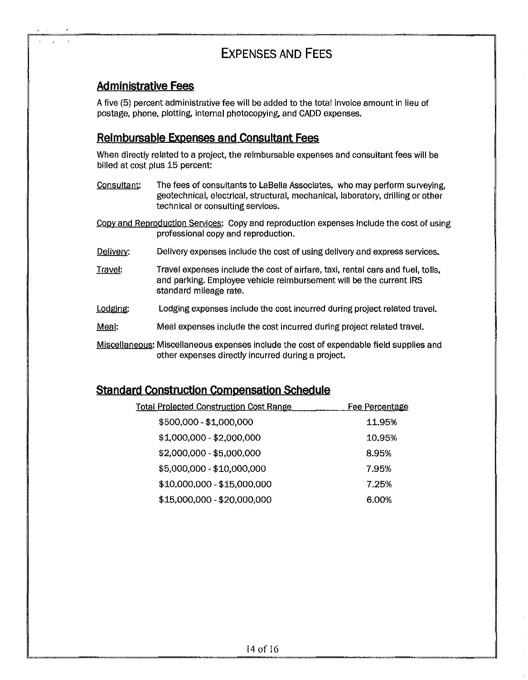## **EXPENSES AND FEES**

#### **Administrative Fees**

A five (5) percent administrative fee will be added to the total invoice amount in lieu of postage, phone, plotting, internal photocopying, and CADD expenses.

#### **Reimbursable Expenses and Consultant Fees**

When directly related to a project, the reimbursable expenses and consultant fees will be billed at cost plus 15 percent:

- Consultant: The fees of consultants to LaBella Associates, who may perform surveying, geotechnical, electrical, structural, mechanical, laboratory, drilling or other technical or consulting services.
- Copy and Reproduction Services: Copy and reproduction expenses include the cost of using professional copy and reproduction.
- Delivery: Delivery expenses include the cost of using delivery and express services.
- Travel: Travel expenses include the cost of airfare, taxi, rental cars and fuel, tolls, and parking. Employee vehicle reimbursement will be the current IRS standard mileage rate.
- Lodging: Lodging expenses include the cost incurred during project related travel.
- Meal: Meal expenses include the cost Incurred during project related travel.
- Miscellaneous: Miscellaneous expenses include the cost of expendable field supplies and other expenses directly incurred during a project.

#### **Standard Construction Compensation Schedule**

| <b>Total Projected Construction Cost Range</b> | <u>Fee Percentage</u> |
|------------------------------------------------|-----------------------|
| \$500,000 - \$1,000,000                        | 11.95%                |
| \$1,000,000 - \$2,000,000                      | 10.95%                |
| \$2,000,000 - \$5,000,000                      | 8.95%                 |
| \$5,000,000 - \$10,000,000                     | 7.95%                 |
| \$10,000,000 - \$15,000,000                    | 7.25%                 |
| \$15,000,000 - \$20,000,000                    | 6.00%                 |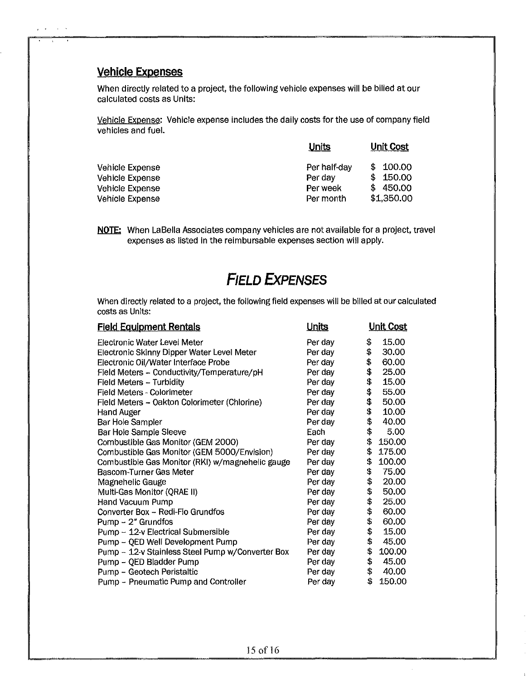#### **Vehicle Expenses**

 $\chi^2/\chi^2$ 

 $\sim$   $\sim$ 

When directly related to a project, the following vehicle expenses will be billed at our calculated costs as Units:

Vehicle Expense: Vehicle expense includes the daily costs for the use of company field vehicles and fuel.

|                                                       | Units                               | Unit Cost                                               |  |
|-------------------------------------------------------|-------------------------------------|---------------------------------------------------------|--|
| Vehicle Expense<br>Vehicle Expense<br>Vehicle Expense | Per half-day<br>Per day<br>Per week | 100.00<br>S<br>150.00<br>S<br>450.00<br>S<br>\$1,350.00 |  |
| Vehicle Expense                                       | Per month                           |                                                         |  |

NOTE: When LaBella Associates company vehicles are not available for a project, travel expenses as listed in the reimbursable expenses section will apply.

## **FIELD EXPENSES**

When directly related to a project, the following field expenses will be billed at our calculated costs as Units:

| <b>Field Equipment Rentals</b>                   | <u>Units</u> | <u>Unit Cost</u> |
|--------------------------------------------------|--------------|------------------|
| Electronic Water Level Meter                     | Per day      | \$<br>15.00      |
| Electronic Skinny Dipper Water Level Meter       | Per day      | \$<br>30.00      |
| Electronic Oil/Water Interface Probe             | Per day      | \$<br>60.00      |
| Field Meters - Conductivity/Temperature/pH       | Per day      | \$<br>25.00      |
| Field Meters - Turbidity                         | Per day      | \$<br>15.00      |
| Field Meters - Colorimeter                       | Per day      | \$<br>55.00      |
| Field Meters - Oakton Colorimeter (Chlorine)     | Per day      | \$<br>50.00      |
| Hand Auger                                       | Per day      | \$<br>10.00      |
| Bar Hole Sampler                                 | Per day      | \$<br>40.00      |
| Bar Hole Sample Sleeve                           | Each         | \$<br>5.00       |
| Combustible Gas Monitor (GEM 2000)               | Per day      | \$<br>150.00     |
| Combustible Gas Monitor (GEM 5000/Envision)      | Per day      | \$<br>175.00     |
| Combustible Gas Monitor (RKI) w/magnehelic gauge | Per day      | \$<br>100.00     |
| Bascom-Turner Gas Meter                          | Per day      | \$<br>75.00      |
| Magnehelic Gauge                                 | Per day      | \$<br>20.00      |
| Multi-Gas Monitor (QRAE II)                      | Per day      | \$<br>50.00      |
| Hand Vacuum Pump                                 | Per day      | \$<br>25.00      |
| Converter Box - Redi-Flo Grundfos                | Per day      | \$<br>60.00      |
| $Pump - 2" Grundfos$                             | Per day      | \$<br>60.00      |
| Pump - 12-v Electrical Submersible               | Per day      | \$<br>15.00      |
| Pump - QED Well Development Pump                 | Per day      | \$<br>45.00      |
| Pump - 12-v Stainless Steel Pump w/Converter Box | Per day      | \$<br>100.00     |
| Pump - QED Bladder Pump                          | Per day      | \$<br>45.00      |
| Pump - Geotech Peristaltic                       | Per day      | \$<br>40.00      |
| Pump - Pneumatic Pump and Controller             | Per day      | \$<br>150.00     |